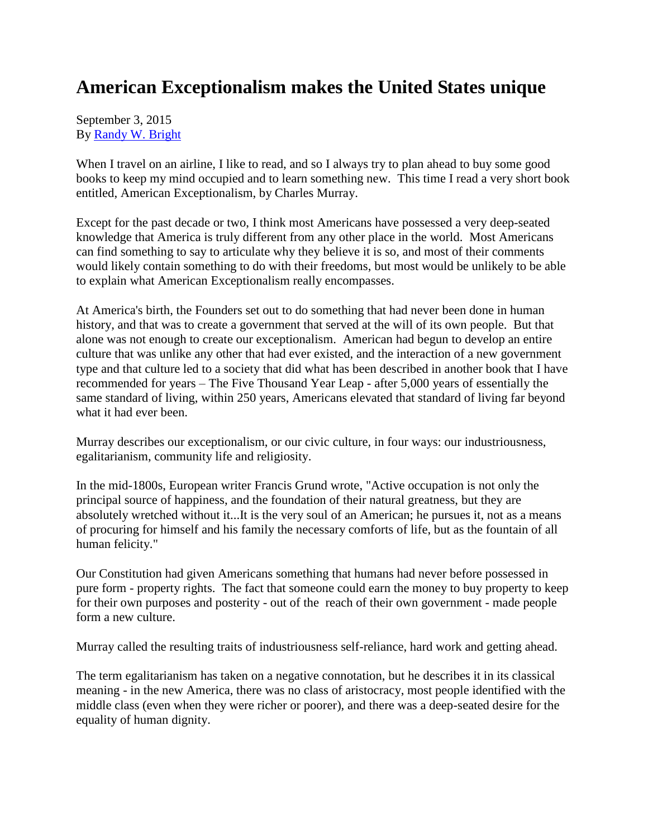## **American Exceptionalism makes the United States unique**

September 3, 2015 By [Randy W. Bright](http://www.tulsabeacon.com/author/slug-o6yd1v)

When I travel on an airline, I like to read, and so I always try to plan ahead to buy some good books to keep my mind occupied and to learn something new. This time I read a very short book entitled, American Exceptionalism, by Charles Murray.

Except for the past decade or two, I think most Americans have possessed a very deep-seated knowledge that America is truly different from any other place in the world. Most Americans can find something to say to articulate why they believe it is so, and most of their comments would likely contain something to do with their freedoms, but most would be unlikely to be able to explain what American Exceptionalism really encompasses.

At America's birth, the Founders set out to do something that had never been done in human history, and that was to create a government that served at the will of its own people. But that alone was not enough to create our exceptionalism. American had begun to develop an entire culture that was unlike any other that had ever existed, and the interaction of a new government type and that culture led to a society that did what has been described in another book that I have recommended for years – The Five Thousand Year Leap - after 5,000 years of essentially the same standard of living, within 250 years, Americans elevated that standard of living far beyond what it had ever been.

Murray describes our exceptionalism, or our civic culture, in four ways: our industriousness, egalitarianism, community life and religiosity.

In the mid-1800s, European writer Francis Grund wrote, "Active occupation is not only the principal source of happiness, and the foundation of their natural greatness, but they are absolutely wretched without it...It is the very soul of an American; he pursues it, not as a means of procuring for himself and his family the necessary comforts of life, but as the fountain of all human felicity."

Our Constitution had given Americans something that humans had never before possessed in pure form - property rights. The fact that someone could earn the money to buy property to keep for their own purposes and posterity - out of the reach of their own government - made people form a new culture.

Murray called the resulting traits of industriousness self-reliance, hard work and getting ahead.

The term egalitarianism has taken on a negative connotation, but he describes it in its classical meaning - in the new America, there was no class of aristocracy, most people identified with the middle class (even when they were richer or poorer), and there was a deep-seated desire for the equality of human dignity.